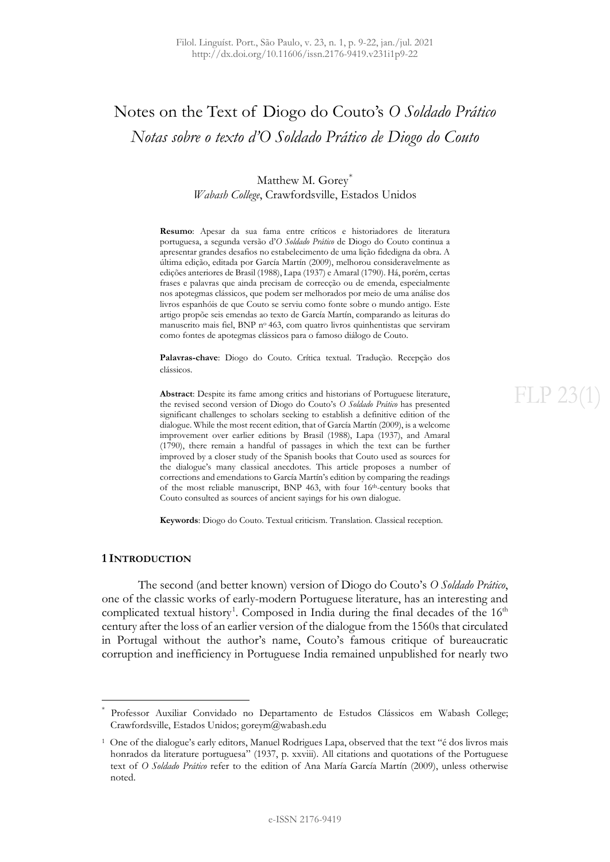## Notes on the Text of Diogo do Couto's *O Soldado Prático Notas sobre o texto d'O Soldado Prático de Diogo do Couto*

Matthew M. Gorey[\\*](#page-0-0) *Wabash College*, Crawfordsville, Estados Unidos

**Resumo**: Apesar da sua fama entre críticos e historiadores de literatura portuguesa, a segunda versão d'*O Soldado Prático* de Diogo do Couto continua a apresentar grandes desafios no estabelecimento de uma lição fidedigna da obra. A última edição, editada por García Martín (2009), melhorou consideravelmente as edições anteriores de Brasil (1988), Lapa (1937) e Amaral (1790). Há, porém, certas frases e palavras que ainda precisam de correcção ou de emenda, especialmente nos apotegmas clássicos, que podem ser melhorados por meio de uma análise dos livros espanhóis de que Couto se serviu como fonte sobre o mundo antigo. Este artigo propõe seis emendas ao texto de García Martín, comparando as leituras do manuscrito mais fiel, BNP no 463, com quatro livros quinhentistas que serviram como fontes de apotegmas clássicos para o famoso diálogo de Couto.

**Palavras-chave**: Diogo do Couto. Crítica textual. Tradução. Recepção dos clássicos.

**Abstract**: Despite its fame among critics and historians of Portuguese literature, the revised second version of Diogo do Couto's *O Soldado Prático* has presented significant challenges to scholars seeking to establish a definitive edition of the dialogue. While the most recent edition, that of García Martín (2009), is a welcome improvement over earlier editions by Brasil (1988), Lapa (1937), and Amaral (1790), there remain a handful of passages in which the text can be further improved by a closer study of the Spanish books that Couto used as sources for the dialogue's many classical anecdotes. This article proposes a number of corrections and emendations to García Martín's edition by comparing the readings of the most reliable manuscript, BNP 463, with four 16<sup>th</sup>-century books that Couto consulted as sources of ancient sayings for his own dialogue.

**Keywords**: Diogo do Couto. Textual criticism. Translation. Classical reception.

## **1 INTRODUCTION**

The second (and better known) version of Diogo do Couto's *O Soldado Prático*, one of the classic works of early-modern Portuguese literature, has an interesting and complicated textual history<sup>[1](#page-0-1)</sup>. Composed in India during the final decades of the  $16<sup>th</sup>$ century after the loss of an earlier version of the dialogue from the 1560s that circulated in Portugal without the author's name, Couto's famous critique of bureaucratic corruption and inefficiency in Portuguese India remained unpublished for nearly two

# $FI.P.23($

<span id="page-0-0"></span>Professor Auxiliar Convidado no Departamento de Estudos Clássicos em Wabash College; Crawfordsville, Estados Unidos; goreym@wabash.edu

<span id="page-0-1"></span><sup>1</sup> One of the dialogue's early editors, Manuel Rodrigues Lapa, observed that the text "é dos livros mais honrados da literature portuguesa" (1937, p. xxviii). All citations and quotations of the Portuguese text of *O Soldado Prático* refer to the edition of Ana María García Martín (2009), unless otherwise noted.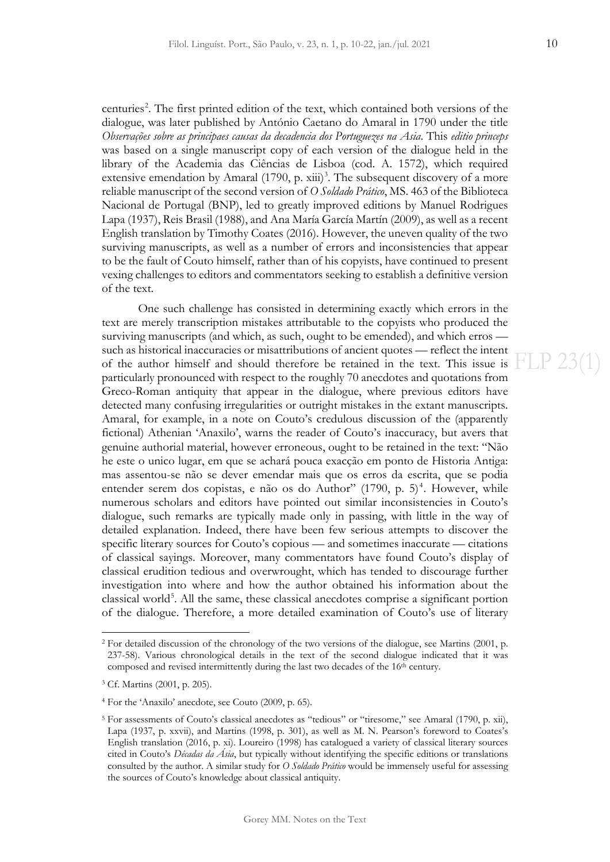centuries<sup>[2](#page-1-0)</sup>. The first printed edition of the text, which contained both versions of the dialogue, was later published by António Caetano do Amaral in 1790 under the title *Observações sobre as principaes causas da decadencia dos Portuguezes na Asia*. This *editio princeps* was based on a single manuscript copy of each version of the dialogue held in the library of the Academia das Ciências de Lisboa (cod. A. 1572), which required extensive emendation by Amaral  $(1790, p. xiii)^3$  $(1790, p. xiii)^3$ . The subsequent discovery of a more reliable manuscript of the second version of *O Soldado Prático*, MS. 463 of the Biblioteca Nacional de Portugal (BNP), led to greatly improved editions by Manuel Rodrigues Lapa (1937), Reis Brasil (1988), and Ana María García Martín (2009), as well as a recent English translation by Timothy Coates (2016). However, the uneven quality of the two surviving manuscripts, as well as a number of errors and inconsistencies that appear to be the fault of Couto himself, rather than of his copyists, have continued to present vexing challenges to editors and commentators seeking to establish a definitive version of the text.

One such challenge has consisted in determining exactly which errors in the text are merely transcription mistakes attributable to the copyists who produced the surviving manuscripts (and which, as such, ought to be emended), and which erros such as historical inaccuracies or misattributions of ancient quotes — reflect the intent of the author himself and should therefore be retained in the text. This issue is  $FLP 23(1)$ particularly pronounced with respect to the roughly 70 anecdotes and quotations from Greco-Roman antiquity that appear in the dialogue, where previous editors have detected many confusing irregularities or outright mistakes in the extant manuscripts. Amaral, for example, in a note on Couto's credulous discussion of the (apparently fictional) Athenian 'Anaxilo', warns the reader of Couto's inaccuracy, but avers that genuine authorial material, however erroneous, ought to be retained in the text: "Não he este o unico lugar, em que se achará pouca exacção em ponto de Historia Antiga: mas assentou-se não se dever emendar mais que os erros da escrita, que se podia entender serem dos copistas, e não os do Author" (1790, p. 5)<sup>[4](#page-1-2)</sup>. However, while numerous scholars and editors have pointed out similar inconsistencies in Couto's dialogue, such remarks are typically made only in passing, with little in the way of detailed explanation. Indeed, there have been few serious attempts to discover the specific literary sources for Couto's copious — and sometimes inaccurate — citations of classical sayings. Moreover, many commentators have found Couto's display of classical erudition tedious and overwrought, which has tended to discourage further investigation into where and how the author obtained his information about the classical world<sup>[5](#page-1-3)</sup>. All the same, these classical anecdotes comprise a significant portion of the dialogue. Therefore, a more detailed examination of Couto's use of literary

<span id="page-1-0"></span><sup>2</sup> For detailed discussion of the chronology of the two versions of the dialogue, see Martins (2001, p. 237-58). Various chronological details in the text of the second dialogue indicated that it was composed and revised intermittently during the last two decades of the 16<sup>th</sup> century.

<span id="page-1-1"></span><sup>3</sup> Cf. Martins (2001, p. 205).

<span id="page-1-2"></span><sup>4</sup> For the 'Anaxilo' anecdote, see Couto (2009, p. 65).

<span id="page-1-3"></span><sup>5</sup> For assessments of Couto's classical anecdotes as "tedious" or "tiresome," see Amaral (1790, p. xii), Lapa (1937, p. xxvii), and Martins (1998, p. 301), as well as M. N. Pearson's foreword to Coates's English translation (2016, p. xi). Loureiro (1998) has catalogued a variety of classical literary sources cited in Couto's *Décadas da Ásia*, but typically without identifying the specific editions or translations consulted by the author. A similar study for *O Soldado Prático* would be immensely useful for assessing the sources of Couto's knowledge about classical antiquity.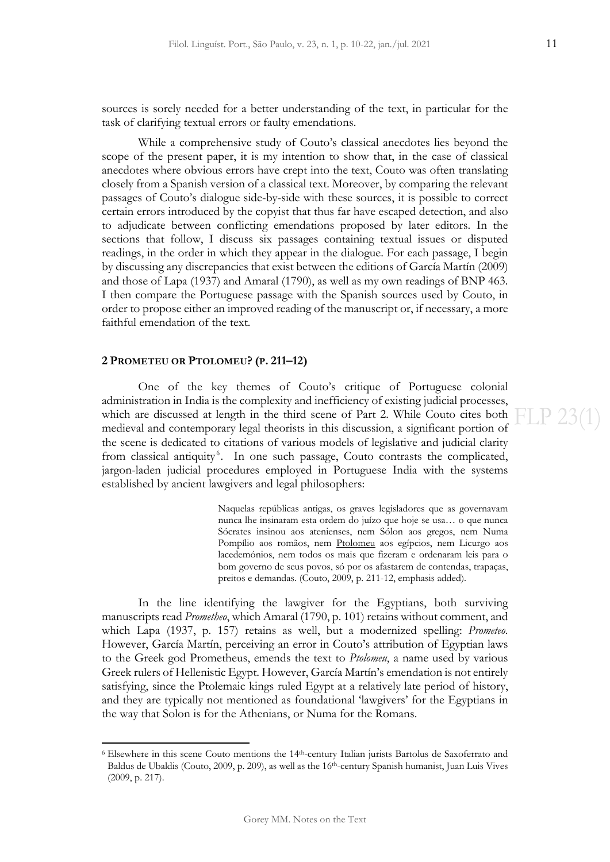sources is sorely needed for a better understanding of the text, in particular for the task of clarifying textual errors or faulty emendations.

While a comprehensive study of Couto's classical anecdotes lies beyond the scope of the present paper, it is my intention to show that, in the case of classical anecdotes where obvious errors have crept into the text, Couto was often translating closely from a Spanish version of a classical text. Moreover, by comparing the relevant passages of Couto's dialogue side-by-side with these sources, it is possible to correct certain errors introduced by the copyist that thus far have escaped detection, and also to adjudicate between conflicting emendations proposed by later editors. In the sections that follow, I discuss six passages containing textual issues or disputed readings, in the order in which they appear in the dialogue. For each passage, I begin by discussing any discrepancies that exist between the editions of García Martín (2009) and those of Lapa (1937) and Amaral (1790), as well as my own readings of BNP 463. I then compare the Portuguese passage with the Spanish sources used by Couto, in order to propose either an improved reading of the manuscript or, if necessary, a more faithful emendation of the text.

## **2 PROMETEU OR PTOLOMEU? (P. 211–12)**

One of the key themes of Couto's critique of Portuguese colonial administration in India is the complexity and inefficiency of existing judicial processes, which are discussed at length in the third scene of Part 2. While Couto cites both medieval and contemporary legal theorists in this discussion, a significant portion of the scene is dedicated to citations of various models of legislative and judicial clarity from classical antiquity<sup>[6](#page-2-0)</sup>. In one such passage, Couto contrasts the complicated, jargon-laden judicial procedures employed in Portuguese India with the systems established by ancient lawgivers and legal philosophers:

> Naquelas repúblicas antigas, os graves legisladores que as governavam nunca lhe insinaram esta ordem do juízo que hoje se usa… o que nunca Sócrates insinou aos atenienses, nem Sólon aos gregos, nem Numa Pompílio aos romãos, nem Ptolomeu aos egípcios, nem Licurgo aos lacedemónios, nem todos os mais que fizeram e ordenaram leis para o bom governo de seus povos, só por os afastarem de contendas, trapaças, preitos e demandas. (Couto, 2009, p. 211-12, emphasis added).

In the line identifying the lawgiver for the Egyptians, both surviving manuscripts read *Prometheo*, which Amaral (1790, p. 101) retains without comment, and which Lapa (1937, p. 157) retains as well, but a modernized spelling: *Prometeo*. However, García Martín, perceiving an error in Couto's attribution of Egyptian laws to the Greek god Prometheus, emends the text to *Ptolomeu*, a name used by various Greek rulers of Hellenistic Egypt. However, García Martín's emendation is not entirely satisfying, since the Ptolemaic kings ruled Egypt at a relatively late period of history, and they are typically not mentioned as foundational 'lawgivers' for the Egyptians in the way that Solon is for the Athenians, or Numa for the Romans.

<span id="page-2-0"></span><sup>6</sup> Elsewhere in this scene Couto mentions the 14th-century Italian jurists Bartolus de Saxoferrato and Baldus de Ubaldis (Couto, 2009, p. 209), as well as the 16th-century Spanish humanist, Juan Luis Vives (2009, p. 217).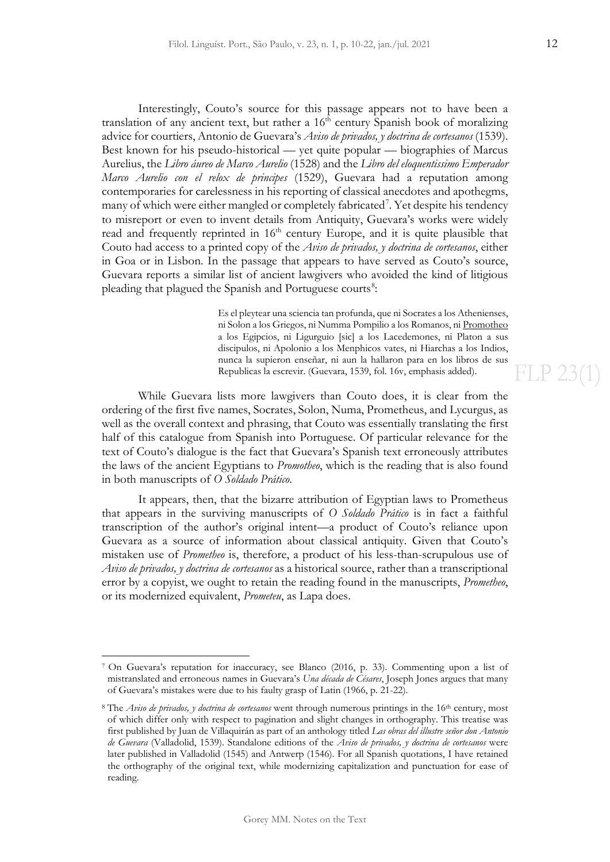Interestingly, Couto's source for this passage appears not to have been a translation of any ancient text, but rather a  $16<sup>th</sup>$  century Spanish book of moralizing advice for courtiers, Antonio de Guevara's *Aviso de privados, y doctrina de cortesanos* (1539). Best known for his pseudo-historical — yet quite popular — biographies of Marcus Aurelius, the *Libro áureo de Marco Aurelio* (1528) and the *Libro del eloquentissimo Emperador Marco Aurelio con el relox de principes* (1529), Guevara had a reputation among contemporaries for carelessness in his reporting of classical anecdotes and apothegms, many of which were either mangled or completely fabricated<sup>[7](#page-3-0)</sup>. Yet despite his tendency to misreport or even to invent details from Antiquity, Guevara's works were widely read and frequently reprinted in  $16<sup>th</sup>$  century Europe, and it is quite plausible that Couto had access to a printed copy of the *Aviso de privados, y doctrina de cortesanos*, either in Goa or in Lisbon. In the passage that appears to have served as Couto's source, Guevara reports a similar list of ancient lawgivers who avoided the kind of litigious pleading that plagued the Spanish and Portuguese courts<sup>[8](#page-3-1)</sup>:

> Es el pleytear una sciencia tan profunda, que ni Socrates a los Athenienses, ni Solon a los Griegos, ni Numma Pompilio a los Romanos, ni Promotheo a los Egipcios, ni Ligurguio [sic] a los Lacedemones, ni Platon a sus discipulos, ni Apolonio a los Menphicos vates, ni Hiarchas a los Indios, nunca la supieron enseñar, ni aun la hallaron para en los libros de sus Republicas la escrevir. (Guevara, 1539, fol. 16v, emphasis added).

While Guevara lists more lawgivers than Couto does, it is clear from the ordering of the first five names, Socrates, Solon, Numa, Prometheus, and Lycurgus, as well as the overall context and phrasing, that Couto was essentially translating the first half of this catalogue from Spanish into Portuguese. Of particular relevance for the text of Couto's dialogue is the fact that Guevara's Spanish text erroneously attributes the laws of the ancient Egyptians to *Promotheo*, which is the reading that is also found in both manuscripts of *O Soldado Prático*.

It appears, then, that the bizarre attribution of Egyptian laws to Prometheus that appears in the surviving manuscripts of *O Soldado Prático* is in fact a faithful transcription of the author's original intent—a product of Couto's reliance upon Guevara as a source of information about classical antiquity. Given that Couto's mistaken use of *Prometheo* is, therefore, a product of his less-than-scrupulous use of *Aviso de privados, y doctrina de cortesanos* as a historical source, rather than a transcriptional error by a copyist, we ought to retain the reading found in the manuscripts, *Prometheo*, or its modernized equivalent, *Prometeu*, as Lapa does.

FLP 23(1)

<span id="page-3-0"></span><sup>7</sup> On Guevara's reputation for inaccuracy, see Blanco (2016, p. 33). Commenting upon a list of mistranslated and erroneous names in Guevara's *Una década de Césares*, Joseph Jones argues that many of Guevara's mistakes were due to his faulty grasp of Latin (1966, p. 21-22).

<span id="page-3-1"></span><sup>8</sup> The *Aviso de privados, y doctrina de cortesanos* went through numerous printings in the 16th century, most of which differ only with respect to pagination and slight changes in orthography. This treatise was first published by Juan de Villaquirán as part of an anthology titled *Las obras del illustre señor don Antonio de Guevara* (Valladolid, 1539). Standalone editions of the *Aviso de privados, y doctrina de cortesanos* were later published in Valladolid (1545) and Antwerp (1546). For all Spanish quotations, I have retained the orthography of the original text, while modernizing capitalization and punctuation for ease of reading.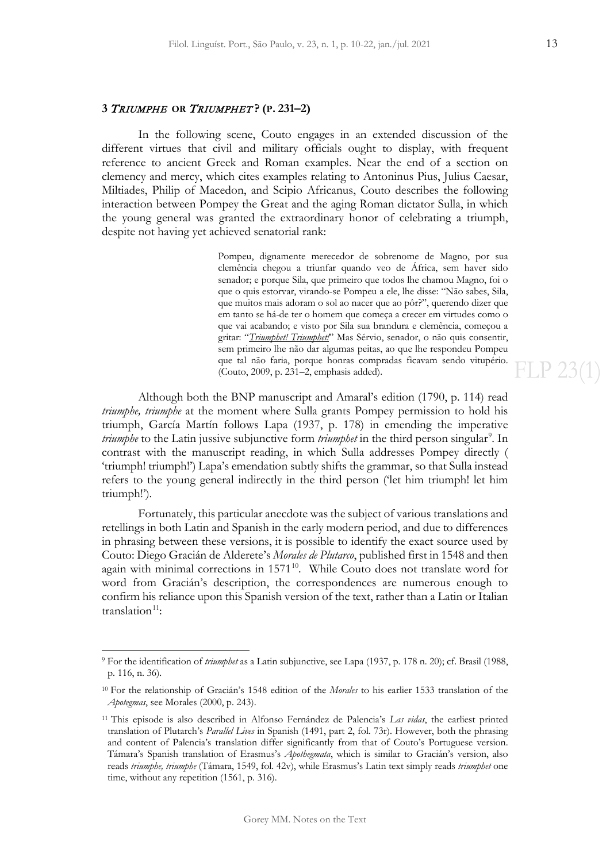**FLP 23(1)** 

## **3** TRIUMPHE **OR** TRIUMPHET **? (P. 231–2)**

In the following scene, Couto engages in an extended discussion of the different virtues that civil and military officials ought to display, with frequent reference to ancient Greek and Roman examples. Near the end of a section on clemency and mercy, which cites examples relating to Antoninus Pius, Julius Caesar, Miltiades, Philip of Macedon, and Scipio Africanus, Couto describes the following interaction between Pompey the Great and the aging Roman dictator Sulla, in which the young general was granted the extraordinary honor of celebrating a triumph, despite not having yet achieved senatorial rank:

> Pompeu, dignamente merecedor de sobrenome de Magno, por sua clemência chegou a triunfar quando veo de África, sem haver sido senador; e porque Sila, que primeiro que todos lhe chamou Magno, foi o que o quis estorvar, virando-se Pompeu a ele, lhe disse: "Não sabes, Sila, que muitos mais adoram o sol ao nacer que ao pôr?", querendo dizer que em tanto se há-de ter o homem que começa a crecer em virtudes como o que vai acabando; e visto por Sila sua brandura e clemência, começou a gritar: "*Triumphet! Triumphet!*" Mas Sérvio, senador, o não quis consentir, sem primeiro lhe não dar algumas peitas, ao que lhe respondeu Pompeu que tal não faria, porque honras compradas ficavam sendo vitupério. (Couto, 2009, p. 231–2, emphasis added).

Although both the BNP manuscript and Amaral's edition (1790, p. 114) read *triumphe, triumphe* at the moment where Sulla grants Pompey permission to hold his triumph, García Martín follows Lapa (1937, p. 178) in emending the imperative *triumphe* to the Latin jussive subjunctive form *triumphet* in the third person singular<sup>[9](#page-4-0)</sup>. In contrast with the manuscript reading, in which Sulla addresses Pompey directly ( 'triumph! triumph!') Lapa's emendation subtly shifts the grammar, so that Sulla instead refers to the young general indirectly in the third person ('let him triumph! let him triumph!').

Fortunately, this particular anecdote was the subject of various translations and retellings in both Latin and Spanish in the early modern period, and due to differences in phrasing between these versions, it is possible to identify the exact source used by Couto: Diego Gracián de Alderete's *Morales de Plutarco*, published first in 1548 and then again with minimal corrections in  $1571<sup>10</sup>$  $1571<sup>10</sup>$  $1571<sup>10</sup>$ . While Couto does not translate word for word from Gracián's description, the correspondences are numerous enough to confirm his reliance upon this Spanish version of the text, rather than a Latin or Italian  $translation<sup>11</sup>$  $translation<sup>11</sup>$  $translation<sup>11</sup>$ :

<span id="page-4-0"></span><sup>9</sup> For the identification of *triumphet* as a Latin subjunctive, see Lapa (1937, p. 178 n. 20); cf. Brasil (1988, p. 116, n. 36).

<span id="page-4-1"></span><sup>10</sup> For the relationship of Gracián's 1548 edition of the *Morales* to his earlier 1533 translation of the *Apotegmas*, see Morales (2000, p. 243).

<span id="page-4-2"></span><sup>11</sup> This episode is also described in Alfonso Fernández de Palencia's *Las vidas*, the earliest printed translation of Plutarch's *Parallel Lives* in Spanish (1491, part 2, fol. 73r). However, both the phrasing and content of Palencia's translation differ significantly from that of Couto's Portuguese version. Támara's Spanish translation of Erasmus's *Apothegmata*, which is similar to Gracián's version, also reads *triumphe, triumphe* (Támara, 1549, fol. 42v), while Erasmus's Latin text simply reads *triumphet* one time, without any repetition (1561, p. 316).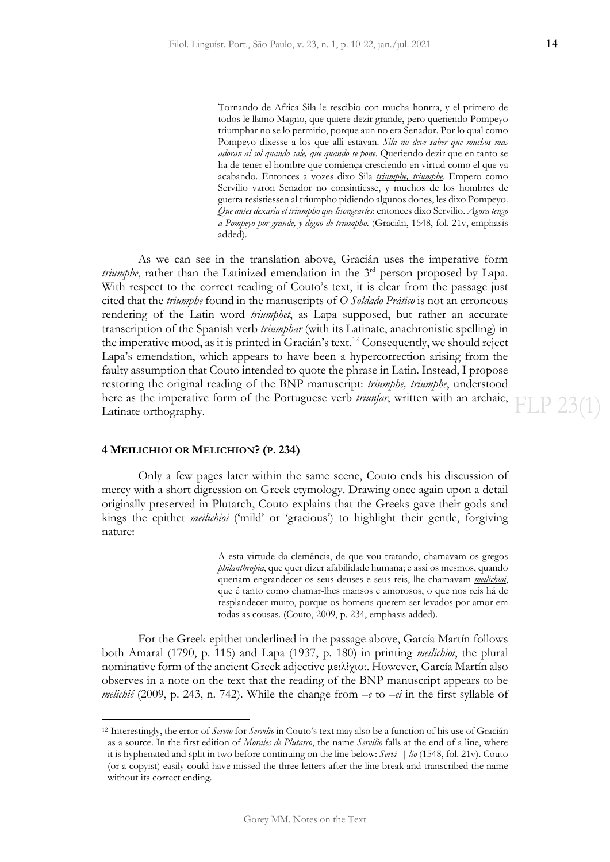Tornando de Africa Sila le rescibio con mucha honrra, y el primero de todos le llamo Magno, que quiere dezir grande, pero queriendo Pompeyo triumphar no se lo permitio, porque aun no era Senador. Por lo qual como Pompeyo dixesse a los que alli estavan. *Sila no deve saber que muchos mas adoran al sol quando sale, que quando se pone*. Queriendo dezir que en tanto se ha de tener el hombre que comiença cresciendo en virtud como el que va acabando. Entonces a vozes dixo Sila *triumphe, triumphe*. Empero como Servilio varon Senador no consintiesse, y muchos de los hombres de guerra resistiessen al triumpho pidiendo algunos dones, les dixo Pompeyo. *Que antes dexaria el triumpho que lisongearles*: entonces dixo Servilio. *Agora tengo a Pompeyo por grande, y digno de triumpho*. (Gracián, 1548, fol. 21v, emphasis added).

As we can see in the translation above, Gracián uses the imperative form *triumphe*, rather than the Latinized emendation in the 3<sup>rd</sup> person proposed by Lapa. With respect to the correct reading of Couto's text, it is clear from the passage just cited that the *triumphe* found in the manuscripts of *O Soldado Prático* is not an erroneous rendering of the Latin word *triumphet*, as Lapa supposed, but rather an accurate transcription of the Spanish verb *triumphar* (with its Latinate, anachronistic spelling) in the imperative mood, as it is printed in Gracián's text.[12](#page-5-0) Consequently, we should reject Lapa's emendation, which appears to have been a hypercorrection arising from the faulty assumption that Couto intended to quote the phrase in Latin. Instead, I propose restoring the original reading of the BNP manuscript: *triumphe, triumphe*, understood here as the imperative form of the Portuguese verb *triunfar*, written with an archaic, Latinate orthography.

### **4 MEILICHIOI OR MELICHION? (P. 234)**

Only a few pages later within the same scene, Couto ends his discussion of mercy with a short digression on Greek etymology. Drawing once again upon a detail originally preserved in Plutarch, Couto explains that the Greeks gave their gods and kings the epithet *meilichioi* ('mild' or 'gracious') to highlight their gentle, forgiving nature:

> A esta virtude da clemência, de que vou tratando, chamavam os gregos *philanthropia*, que quer dizer afabilidade humana; e assi os mesmos, quando queriam engrandecer os seus deuses e seus reis, lhe chamavam *meilichioi*, que é tanto como chamar-lhes mansos e amorosos, o que nos reis há de resplandecer muito, porque os homens querem ser levados por amor em todas as cousas. (Couto, 2009, p. 234, emphasis added).

For the Greek epithet underlined in the passage above, García Martín follows both Amaral (1790, p. 115) and Lapa (1937, p. 180) in printing *meilichioi*, the plural nominative form of the ancient Greek adjective μειλίχιοι. However, García Martín also observes in a note on the text that the reading of the BNP manuscript appears to be *melichié* (2009, p. 243, n. 742). While the change from *–e* to *–ei* in the first syllable of

FLP 23(1)

<span id="page-5-0"></span><sup>12</sup> Interestingly, the error of *Servio* for *Servilio* in Couto's text may also be a function of his use of Gracián as a source. In the first edition of *Morales de Plutarco*, the name *Servilio* falls at the end of a line, where it is hyphenated and split in two before continuing on the line below: *Servi- | lio* (1548, fol. 21v). Couto (or a copyist) easily could have missed the three letters after the line break and transcribed the name without its correct ending.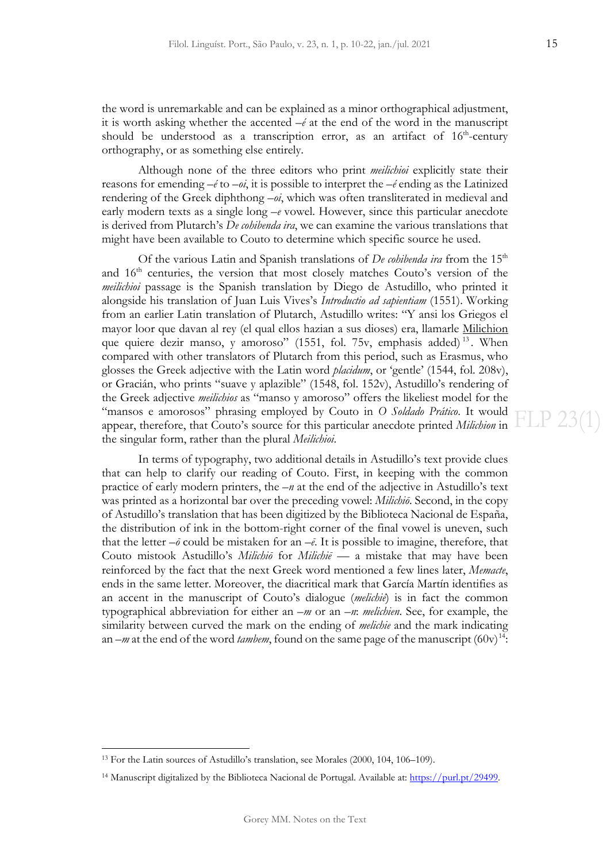the word is unremarkable and can be explained as a minor orthographical adjustment, it is worth asking whether the accented *–é* at the end of the word in the manuscript should be understood as a transcription error, as an artifact of  $16<sup>th</sup>$ -century orthography, or as something else entirely.

Although none of the three editors who print *meilichioi* explicitly state their reasons for emending *–é* to *–oi*, it is possible to interpret the *–é* ending as the Latinized rendering of the Greek diphthong *–oi*, which was often transliterated in medieval and early modern texts as a single long *–e* vowel. However, since this particular anecdote is derived from Plutarch's *De cohibenda ira*, we can examine the various translations that might have been available to Couto to determine which specific source he used.

Of the various Latin and Spanish translations of *De cohibenda ira* from the 15<sup>th</sup> and 16<sup>th</sup> centuries, the version that most closely matches Couto's version of the *meilichioi* passage is the Spanish translation by Diego de Astudillo, who printed it alongside his translation of Juan Luis Vives's *Introductio ad sapientiam* (1551). Working from an earlier Latin translation of Plutarch, Astudillo writes: "Y ansi los Griegos el mayor loor que davan al rey (el qual ellos hazian a sus dioses) era, llamarle Milichion que quiere dezir manso, y amoroso" (1551, fol. 75 $v$ , emphasis added)<sup>[13](#page-6-0)</sup>. When compared with other translators of Plutarch from this period, such as Erasmus, who glosses the Greek adjective with the Latin word *placidum*, or 'gentle' (1544, fol. 208v), or Gracián, who prints "suave y aplazible" (1548, fol. 152v), Astudillo's rendering of the Greek adjective *meilichios* as "manso y amoroso" offers the likeliest model for the "mansos e amorosos" phrasing employed by Couto in *O Soldado Prático*. It would appear, therefore, that Couto's source for this particular anecdote printed *Milichion* in the singular form, rather than the plural *Meilichioi*.

In terms of typography, two additional details in Astudillo's text provide clues that can help to clarify our reading of Couto. First, in keeping with the common practice of early modern printers, the *–n* at the end of the adjective in Astudillo's text was printed as a horizontal bar over the preceding vowel: *Milichiō*. Second, in the copy of Astudillo's translation that has been digitized by the Biblioteca Nacional de España, the distribution of ink in the bottom-right corner of the final vowel is uneven, such that the letter  $-\bar{\theta}$  could be mistaken for an  $-\bar{\theta}$ . It is possible to imagine, therefore, that Couto mistook Astudillo's *Milichiō* for *Milichiē* — a mistake that may have been reinforced by the fact that the next Greek word mentioned a few lines later, *Memacte*, ends in the same letter. Moreover, the diacritical mark that García Martín identifies as an accent in the manuscript of Couto's dialogue (*melichié*) is in fact the common typographical abbreviation for either an *–m* or an *–n*: *melichien*. See, for example, the similarity between curved the mark on the ending of *melichie* and the mark indicating an  $-m$  at the end of the word *tambem*, found on the same page of the manuscript  $(60v)^{14}$ :

<span id="page-6-0"></span><sup>13</sup> For the Latin sources of Astudillo's translation, see Morales (2000, 104, 106–109).

<span id="page-6-1"></span><sup>&</sup>lt;sup>14</sup> Manuscript digitalized by the Biblioteca Nacional de Portugal. Available at[: https://purl.pt/29499.](https://purl.pt/29499)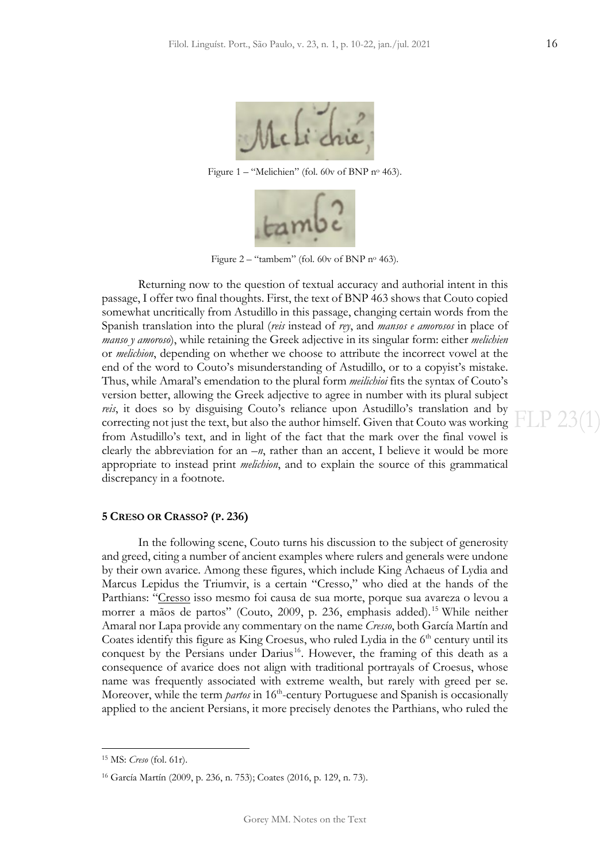

Figure 1 – "Melichien" (fol. 60v of BNP no 463).



Figure 2 – "tambem" (fol. 60v of BNP nº 463).

Returning now to the question of textual accuracy and authorial intent in this passage, I offer two final thoughts. First, the text of BNP 463 shows that Couto copied somewhat uncritically from Astudillo in this passage, changing certain words from the Spanish translation into the plural (*reis* instead of *rey*, and *mansos e amorosos* in place of *manso y amoroso*), while retaining the Greek adjective in its singular form: either *melichien* or *melichion*, depending on whether we choose to attribute the incorrect vowel at the end of the word to Couto's misunderstanding of Astudillo, or to a copyist's mistake. Thus, while Amaral's emendation to the plural form *meilichioi* fits the syntax of Couto's version better, allowing the Greek adjective to agree in number with its plural subject *reis*, it does so by disguising Couto's reliance upon Astudillo's translation and by correcting not just the text, but also the author himself. Given that Couto was working from Astudillo's text, and in light of the fact that the mark over the final vowel is clearly the abbreviation for an *–n*, rather than an accent, I believe it would be more appropriate to instead print *melichion*, and to explain the source of this grammatical discrepancy in a footnote.

### **5 CRESO OR CRASSO? (P. 236)**

In the following scene, Couto turns his discussion to the subject of generosity and greed, citing a number of ancient examples where rulers and generals were undone by their own avarice. Among these figures, which include King Achaeus of Lydia and Marcus Lepidus the Triumvir, is a certain "Cresso," who died at the hands of the Parthians: "Cresso isso mesmo foi causa de sua morte, porque sua avareza o levou a morrer a mãos de partos" (Couto, 2009, p. 236, emphasis added). [15](#page-7-0) While neither Amaral nor Lapa provide any commentary on the name *Cresso*, both García Martín and Coates identify this figure as King Croesus, who ruled Lydia in the  $6<sup>th</sup>$  century until its conquest by the Persians under Darius<sup>[16](#page-7-1)</sup>. However, the framing of this death as a consequence of avarice does not align with traditional portrayals of Croesus, whose name was frequently associated with extreme wealth, but rarely with greed per se. Moreover, while the term *partos* in 16<sup>th</sup>-century Portuguese and Spanish is occasionally applied to the ancient Persians, it more precisely denotes the Parthians, who ruled the

Gorey MM. Notes on the Text

<span id="page-7-0"></span><sup>15</sup> MS: *Creso* (fol. 61r).

<span id="page-7-1"></span><sup>16</sup> García Martín (2009, p. 236, n. 753); Coates (2016, p. 129, n. 73).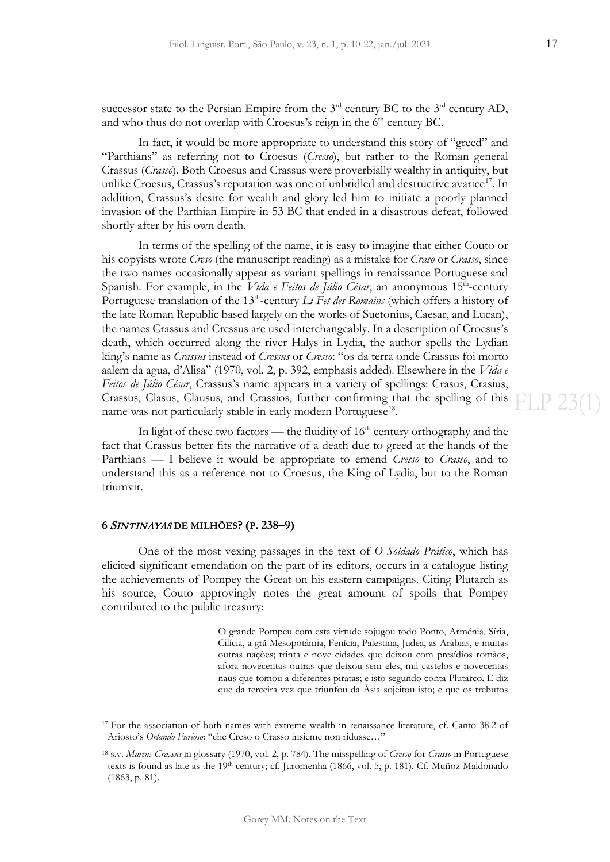successor state to the Persian Empire from the  $3<sup>rd</sup>$  century BC to the  $3<sup>rd</sup>$  century AD, and who thus do not overlap with Croesus's reign in the  $6<sup>th</sup>$  century BC.

In fact, it would be more appropriate to understand this story of "greed" and "Parthians" as referring not to Croesus (*Cresso*), but rather to the Roman general Crassus (*Crasso*). Both Croesus and Crassus were proverbially wealthy in antiquity, but unlike Croesus, Crassus's reputation was one of unbridled and destructive avarice<sup>17</sup>. In addition, Crassus's desire for wealth and glory led him to initiate a poorly planned invasion of the Parthian Empire in 53 BC that ended in a disastrous defeat, followed shortly after by his own death.

In terms of the spelling of the name, it is easy to imagine that either Couto or his copyists wrote *Creso* (the manuscript reading) as a mistake for *Craso* or *Crasso*, since the two names occasionally appear as variant spellings in renaissance Portuguese and Spanish. For example, in the *Vida e Feitos de Júlio César*, an anonymous 15<sup>th</sup>-century Portuguese translation of the 13<sup>th</sup>-century *Li Fet des Romains* (which offers a history of the late Roman Republic based largely on the works of Suetonius, Caesar, and Lucan), the names Crassus and Cressus are used interchangeably. In a description of Croesus's death, which occurred along the river Halys in Lydia, the author spells the Lydian king's name as *Crassus* instead of *Cressus* or *Cresso*: "os da terra onde Crassus foi morto aalem da agua, d'Alisa" (1970, vol. 2, p. 392, emphasis added). Elsewhere in the *Vida e Feitos de Júlio César*, Crassus's name appears in a variety of spellings: Crasus, Crasius, Crassus, Clasus, Clausus, and Crassios, further confirming that the spelling of this name was not particularly stable in early modern Portuguese<sup>[18](#page-8-1)</sup>.

In light of these two factors — the fluidity of  $16<sup>th</sup>$  century orthography and the fact that Crassus better fits the narrative of a death due to greed at the hands of the Parthians — I believe it would be appropriate to emend *Cresso* to *Crasso*, and to understand this as a reference not to Croesus, the King of Lydia, but to the Roman triumvir.

### **6** SINTINAYAS **DE MILHÕES? (P. 238–9)**

One of the most vexing passages in the text of *O Soldado Prático*, which has elicited significant emendation on the part of its editors, occurs in a catalogue listing the achievements of Pompey the Great on his eastern campaigns. Citing Plutarch as his source, Couto approvingly notes the great amount of spoils that Pompey contributed to the public treasury:

> O grande Pompeu com esta virtude sojugou todo Ponto, Arménia, Síria, Cilícia, a grã Mesopotâmia, Fenícia, Palestina, Judea, as Arábias, e muitas outras nações; trinta e nove cidades que deixou com presídios romãos, afora novecentas outras que deixou sem eles, mil castelos e novecentas naus que tomou a diferentes piratas; e isto segundo conta Plutarco. E diz que da terceira vez que triunfou da Ásia sojeitou isto; e que os trebutos

**FLP 230** 

<span id="page-8-0"></span><sup>&</sup>lt;sup>17</sup> For the association of both names with extreme wealth in renaissance literature, cf. Canto 38.2 of Ariosto's *Orlando Furioso*: "che Creso o Crasso insieme non ridusse…"

<span id="page-8-1"></span><sup>18</sup> s.v. *Marcus Crassus* in glossary (1970, vol. 2, p. 784). The misspelling of *Cresso* for *Crasso* in Portuguese texts is found as late as the 19<sup>th</sup> century; cf. Juromenha (1866, vol. 5, p. 181). Cf. Muñoz Maldonado (1863, p. 81).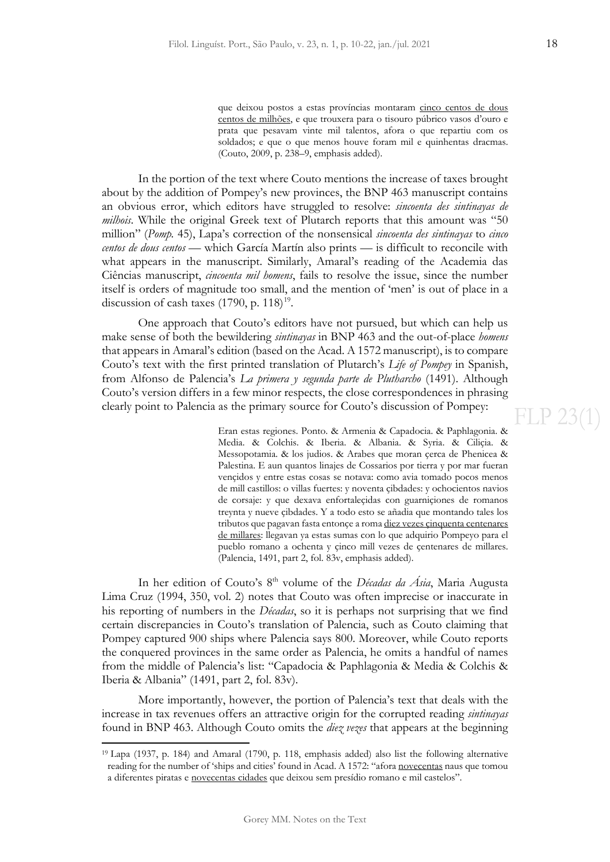que deixou postos a estas províncias montaram cinco centos de dous centos de milhões, e que trouxera para o tisouro púbrico vasos d'ouro e prata que pesavam vinte mil talentos, afora o que repartiu com os soldados; e que o que menos houve foram mil e quinhentas dracmas. (Couto, 2009, p. 238–9, emphasis added).

In the portion of the text where Couto mentions the increase of taxes brought about by the addition of Pompey's new provinces, the BNP 463 manuscript contains an obvious error, which editors have struggled to resolve: *sincoenta des sintinayas de milhois*. While the original Greek text of Plutarch reports that this amount was "50 million" (*Pomp.* 45), Lapa's correction of the nonsensical *sincoenta des sintinayas* to *cinco centos de dous centos* — which García Martín also prints — is difficult to reconcile with what appears in the manuscript. Similarly, Amaral's reading of the Academia das Ciências manuscript, *cincoenta mil homens*, fails to resolve the issue, since the number itself is orders of magnitude too small, and the mention of 'men' is out of place in a discussion of cash taxes  $(1790, p. 118)^{19}$  $(1790, p. 118)^{19}$  $(1790, p. 118)^{19}$ .

One approach that Couto's editors have not pursued, but which can help us make sense of both the bewildering *sintinayas* in BNP 463 and the out-of-place *homens* that appears in Amaral's edition (based on the Acad. A 1572 manuscript), is to compare Couto's text with the first printed translation of Plutarch's *Life of Pompey* in Spanish, from Alfonso de Palencia's *La primera y segunda parte de Plutharcho* (1491). Although Couto's version differs in a few minor respects, the close correspondences in phrasing clearly point to Palencia as the primary source for Couto's discussion of Pompey:

> Eran estas regiones. Ponto. & Armenia & Capadocia. & Paphlagonia. & Media. & Colchis. & Iberia. & Albania. & Syria. & Ciliçia. & Messopotamia. & los judios. & Arabes que moran çerca de Phenicea & Palestina. E aun quantos linajes de Cossarios por tierra y por mar fueran vençidos y entre estas cosas se notava: como avia tomado pocos menos de mill castillos: o villas fuertes: y noventa çibdades: y ochocientos navios de corsaje: y que dexava enfortaleçidas con guarniçiones de romanos treynta y nueve çibdades. Y a todo esto se añadia que montando tales los tributos que pagavan fasta entonçe a roma diez vezes çinquenta centenares de millares: llegavan ya estas sumas con lo que adquirio Pompeyo para el pueblo romano a ochenta y çinco mill vezes de çentenares de millares. (Palencia, 1491, part 2, fol. 83v, emphasis added).

In her edition of Couto's 8<sup>th</sup> volume of the *Décadas da Ásia*, Maria Augusta Lima Cruz (1994, 350, vol. 2) notes that Couto was often imprecise or inaccurate in his reporting of numbers in the *Décadas*, so it is perhaps not surprising that we find certain discrepancies in Couto's translation of Palencia, such as Couto claiming that Pompey captured 900 ships where Palencia says 800. Moreover, while Couto reports the conquered provinces in the same order as Palencia, he omits a handful of names from the middle of Palencia's list: "Capadocia & Paphlagonia & Media & Colchis & Iberia & Albania" (1491, part 2, fol. 83v).

More importantly, however, the portion of Palencia's text that deals with the increase in tax revenues offers an attractive origin for the corrupted reading *sintinayas* found in BNP 463. Although Couto omits the *diez vezes* that appears at the beginning

<span id="page-9-0"></span><sup>19</sup> Lapa (1937, p. 184) and Amaral (1790, p. 118, emphasis added) also list the following alternative reading for the number of 'ships and cities' found in Acad. A 1572: "afora novecentas naus que tomou a diferentes piratas e novecentas cidades que deixou sem presídio romano e mil castelos".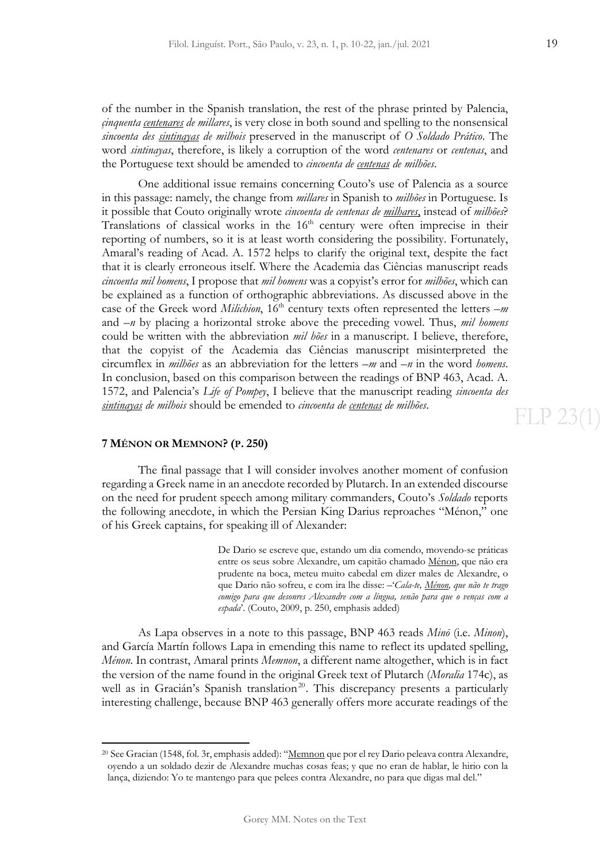**FLP 23(1)** 

of the number in the Spanish translation, the rest of the phrase printed by Palencia, *çinquenta centenares de millares*, is very close in both sound and spelling to the nonsensical *sincoenta des sintinayas de milhois* preserved in the manuscript of *O Soldado Prático*. The word *sintinayas*, therefore, is likely a corruption of the word *centenares* or *centenas*, and the Portuguese text should be amended to *cincoenta de centenas de milhões*.

One additional issue remains concerning Couto's use of Palencia as a source in this passage: namely, the change from *millares* in Spanish to *milhões* in Portuguese. Is it possible that Couto originally wrote *cincoenta de centenas de milhares*, instead of *milhões*? Translations of classical works in the  $16<sup>th</sup>$  century were often imprecise in their reporting of numbers, so it is at least worth considering the possibility. Fortunately, Amaral's reading of Acad. A. 1572 helps to clarify the original text, despite the fact that it is clearly erroneous itself. Where the Academia das Ciências manuscript reads *cincoenta mil homens*, I propose that *mil homens* was a copyist's error for *milhões*, which can be explained as a function of orthographic abbreviations. As discussed above in the case of the Greek word *Milichion*, 16<sup>th</sup> century texts often represented the letters  $-m$ and *–n* by placing a horizontal stroke above the preceding vowel. Thus, *mil homens* could be written with the abbreviation *mil hões* in a manuscript. I believe, therefore, that the copyist of the Academia das Ciências manuscript misinterpreted the circumflex in *milhões* as an abbreviation for the letters *–m* and *–n* in the word *homens*. In conclusion, based on this comparison between the readings of BNP 463, Acad. A. 1572, and Palencia's *Life of Pompey*, I believe that the manuscript reading *sincoenta des sintinayas de milhois* should be emended to *cincoenta de centenas de milhões*.

### **7 MÉNON OR MEMNON? (P. 250)**

The final passage that I will consider involves another moment of confusion regarding a Greek name in an anecdote recorded by Plutarch. In an extended discourse on the need for prudent speech among military commanders, Couto's *Soldado* reports the following anecdote, in which the Persian King Darius reproaches "Ménon," one of his Greek captains, for speaking ill of Alexander:

> De Dario se escreve que, estando um dia comendo, movendo-se práticas entre os seus sobre Alexandre, um capitão chamado Ménon, que não era prudente na boca, meteu muito cabedal em dizer males de Alexandre, o que Dario não sofreu, e com ira lhe disse: –'*Cala-te, Ménon, que não te trago comigo para que desonres Alexandre com a língua, senão para que o venças com a espada*'. (Couto, 2009, p. 250, emphasis added)

As Lapa observes in a note to this passage, BNP 463 reads *Minō* (i.e. *Minon*), and García Martín follows Lapa in emending this name to reflect its updated spelling, *Ménon*. In contrast, Amaral prints *Memnon*, a different name altogether, which is in fact the version of the name found in the original Greek text of Plutarch (*Moralia* 174c), as well as in Gracián's Spanish translation<sup>[20](#page-10-0)</sup>. This discrepancy presents a particularly interesting challenge, because BNP 463 generally offers more accurate readings of the

<span id="page-10-0"></span><sup>&</sup>lt;sup>20</sup> See Gracian (1548, fol. 3r, emphasis added): "Memnon que por el rey Dario peleava contra Alexandre, oyendo a un soldado dezir de Alexandre muchas cosas feas; y que no eran de hablar, le hirio con la lança, diziendo: Yo te mantengo para que pelees contra Alexandre, no para que digas mal del."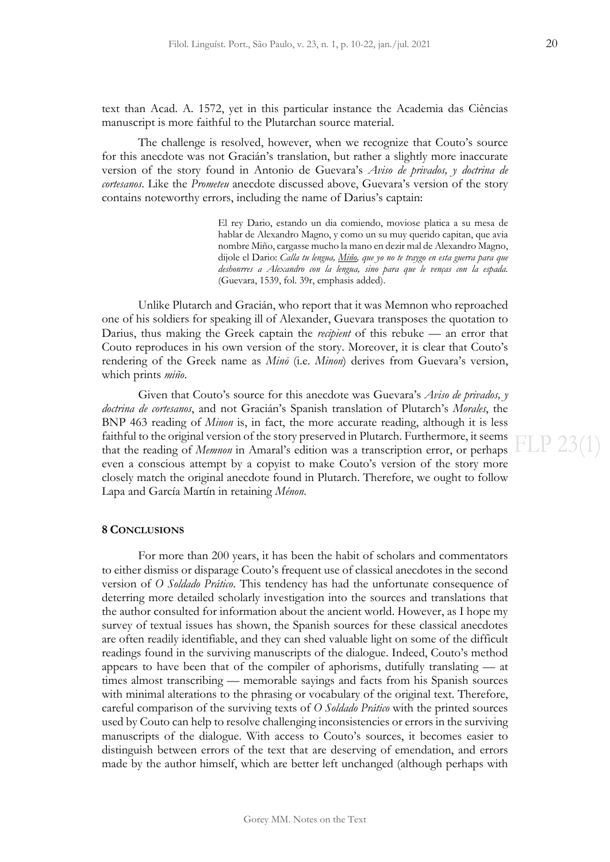text than Acad. A. 1572, yet in this particular instance the Academia das Ciências manuscript is more faithful to the Plutarchan source material.

The challenge is resolved, however, when we recognize that Couto's source for this anecdote was not Gracián's translation, but rather a slightly more inaccurate version of the story found in Antonio de Guevara's *Aviso de privados, y doctrina de cortesanos*. Like the *Prometeu* anecdote discussed above, Guevara's version of the story contains noteworthy errors, including the name of Darius's captain:

> El rey Dario, estando un dia comiendo, moviose platica a su mesa de hablar de Alexandro Magno, y como un su muy querido capitan, que avia nombre Miño, cargasse mucho la mano en dezir mal de Alexandro Magno, dijole el Dario: *Calla tu lengua, Miño, que yo no te traygo en esta guerra para que deshonrres a Alexandro con la lengua, sino para que le venças con la espada.* (Guevara, 1539, fol. 39r, emphasis added).

Unlike Plutarch and Gracián, who report that it was Memnon who reproached one of his soldiers for speaking ill of Alexander, Guevara transposes the quotation to Darius, thus making the Greek captain the *recipient* of this rebuke — an error that Couto reproduces in his own version of the story. Moreover, it is clear that Couto's rendering of the Greek name as *Minō* (i.e. *Minon*) derives from Guevara's version, which prints *miño*.

Given that Couto's source for this anecdote was Guevara's *Aviso de privados, y doctrina de cortesanos*, and not Gracián's Spanish translation of Plutarch's *Morales*, the BNP 463 reading of *Minon* is, in fact, the more accurate reading, although it is less faithful to the original version of the story preserved in Plutarch. Furthermore, it seems that the reading of *Memnon* in Amaral's edition was a transcription error, or perhaps even a conscious attempt by a copyist to make Couto's version of the story more closely match the original anecdote found in Plutarch. Therefore, we ought to follow Lapa and García Martín in retaining *Ménon*.

#### **8 CONCLUSIONS**

For more than 200 years, it has been the habit of scholars and commentators to either dismiss or disparage Couto's frequent use of classical anecdotes in the second version of *O Soldado Prático*. This tendency has had the unfortunate consequence of deterring more detailed scholarly investigation into the sources and translations that the author consulted for information about the ancient world. However, as I hope my survey of textual issues has shown, the Spanish sources for these classical anecdotes are often readily identifiable, and they can shed valuable light on some of the difficult readings found in the surviving manuscripts of the dialogue. Indeed, Couto's method appears to have been that of the compiler of aphorisms, dutifully translating — at times almost transcribing — memorable sayings and facts from his Spanish sources with minimal alterations to the phrasing or vocabulary of the original text. Therefore, careful comparison of the surviving texts of *O Soldado Prático* with the printed sources used by Couto can help to resolve challenging inconsistencies or errors in the surviving manuscripts of the dialogue. With access to Couto's sources, it becomes easier to distinguish between errors of the text that are deserving of emendation, and errors made by the author himself, which are better left unchanged (although perhaps with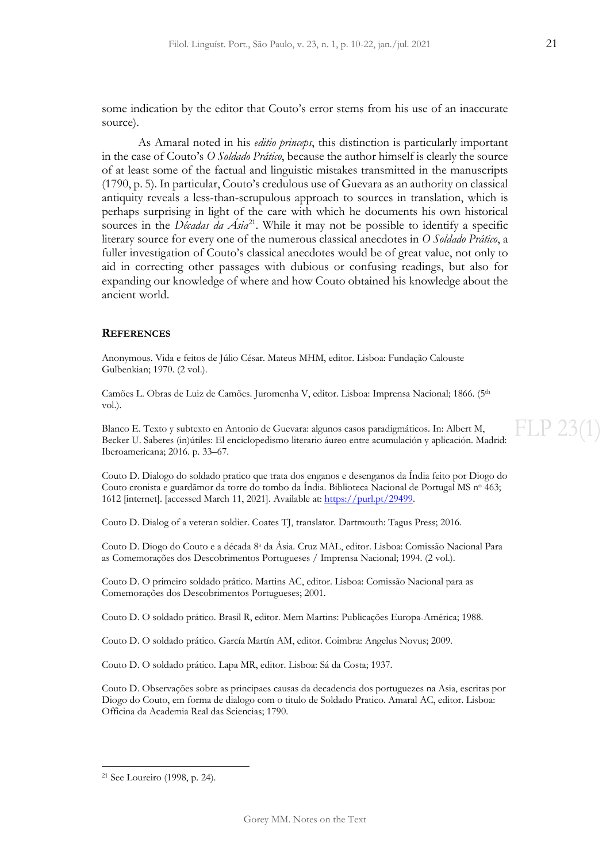some indication by the editor that Couto's error stems from his use of an inaccurate source).

As Amaral noted in his *editio princeps*, this distinction is particularly important in the case of Couto's *O Soldado Prático*, because the author himself is clearly the source of at least some of the factual and linguistic mistakes transmitted in the manuscripts (1790, p. 5). In particular, Couto's credulous use of Guevara as an authority on classical antiquity reveals a less-than-scrupulous approach to sources in translation, which is perhaps surprising in light of the care with which he documents his own historical sources in the *Décadas da Ásia*<sup>[21](#page-12-0)</sup>. While it may not be possible to identify a specific literary source for every one of the numerous classical anecdotes in *O Soldado Prático*, a fuller investigation of Couto's classical anecdotes would be of great value, not only to aid in correcting other passages with dubious or confusing readings, but also for expanding our knowledge of where and how Couto obtained his knowledge about the ancient world.

### **REFERENCES**

Anonymous. Vida e feitos de Júlio César. Mateus MHM, editor. Lisboa: Fundação Calouste Gulbenkian; 1970. (2 vol.).

Camões L. Obras de Luiz de Camões. Juromenha V, editor. Lisboa: Imprensa Nacional; 1866. (5<sup>th</sup> vol.).

Blanco E. Texto y subtexto en Antonio de Guevara: algunos casos paradigmáticos. In: Albert M, Becker U. Saberes (in)útiles: El enciclopedismo literario áureo entre acumulación y aplicación. Madrid: Iberoamericana; 2016. p. 33–67.

Couto D. Dialogo do soldado pratico que trata dos enganos e desenganos da Índia feito por Diogo do Couto cronista e guardãmor da torre do tombo da Índia. Biblioteca Nacional de Portugal MS nº 463; 1612 [internet]. [accessed March 11, 2021]. Available at: [https://purl.pt/29499.](https://purl.pt/29499)

Couto D. Dialog of a veteran soldier. Coates TJ, translator. Dartmouth: Tagus Press; 2016.

Couto D. Diogo do Couto e a década 8a da Ásia. Cruz MAL, editor. Lisboa: Comissão Nacional Para as Comemorações dos Descobrimentos Portugueses / Imprensa Nacional; 1994. (2 vol.).

Couto D. O primeiro soldado prático. Martins AC, editor. Lisboa: Comissão Nacional para as Comemorações dos Descobrimentos Portugueses; 2001.

Couto D. O soldado prático. Brasil R, editor. Mem Martins: Publicações Europa-América; 1988.

Couto D. O soldado prático. García Martín AM, editor. Coimbra: Angelus Novus; 2009.

Couto D. O soldado prático. Lapa MR, editor. Lisboa: Sá da Costa; 1937.

Couto D. Observações sobre as principaes causas da decadencia dos portuguezes na Asia, escritas por Diogo do Couto, em forma de dialogo com o titulo de Soldado Pratico. Amaral AC, editor. Lisboa: Officina da Academia Real das Sciencias; 1790.

FLP 23(

<span id="page-12-0"></span><sup>21</sup> See Loureiro (1998, p. 24).